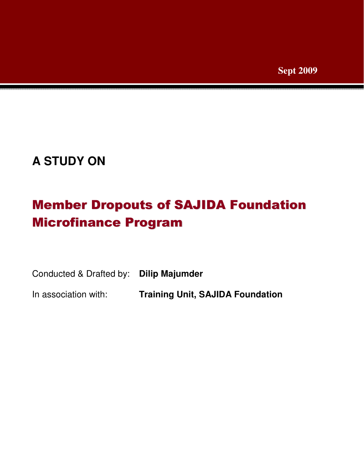# **A STUDY ON**

# Member Dropouts of SAJIDA Foundation Microfinance Program

| Conducted & Drafted by: Dilip Majumder |                                         |
|----------------------------------------|-----------------------------------------|
| In association with:                   | <b>Training Unit, SAJIDA Foundation</b> |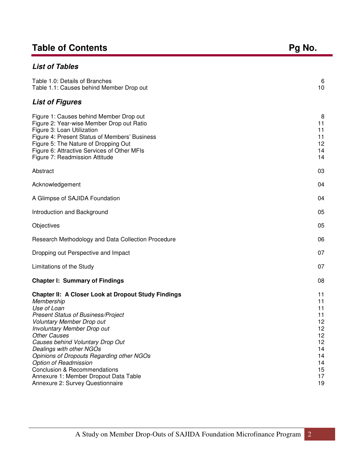## Table of Contents **Pg No. Pg No. Pg No.**

| <b>List of Tables</b>                                                                                                                                                                                                                                                                                                                                                                                                                                                                               |                                                                                  |
|-----------------------------------------------------------------------------------------------------------------------------------------------------------------------------------------------------------------------------------------------------------------------------------------------------------------------------------------------------------------------------------------------------------------------------------------------------------------------------------------------------|----------------------------------------------------------------------------------|
| Table 1.0: Details of Branches<br>Table 1.1: Causes behind Member Drop out                                                                                                                                                                                                                                                                                                                                                                                                                          | 6<br>10                                                                          |
| <b>List of Figures</b>                                                                                                                                                                                                                                                                                                                                                                                                                                                                              |                                                                                  |
| Figure 1: Causes behind Member Drop out<br>Figure 2: Year-wise Member Drop out Ratio<br>Figure 3: Loan Utilization<br>Figure 4: Present Status of Members' Business<br>Figure 5: The Nature of Dropping Out<br>Figure 6: Attractive Services of Other MFIs<br>Figure 7: Readmission Attitude                                                                                                                                                                                                        | 8<br>11<br>11<br>11<br>12<br>14<br>14                                            |
| Abstract                                                                                                                                                                                                                                                                                                                                                                                                                                                                                            | 03                                                                               |
| Acknowledgement                                                                                                                                                                                                                                                                                                                                                                                                                                                                                     | 04                                                                               |
| A Glimpse of SAJIDA Foundation                                                                                                                                                                                                                                                                                                                                                                                                                                                                      | 04                                                                               |
| Introduction and Background                                                                                                                                                                                                                                                                                                                                                                                                                                                                         | 05                                                                               |
| Objectives                                                                                                                                                                                                                                                                                                                                                                                                                                                                                          | 05                                                                               |
| Research Methodology and Data Collection Procedure                                                                                                                                                                                                                                                                                                                                                                                                                                                  | 06                                                                               |
| Dropping out Perspective and Impact                                                                                                                                                                                                                                                                                                                                                                                                                                                                 | 07                                                                               |
| Limitations of the Study                                                                                                                                                                                                                                                                                                                                                                                                                                                                            | 07                                                                               |
| <b>Chapter I: Summary of Findings</b>                                                                                                                                                                                                                                                                                                                                                                                                                                                               | 08                                                                               |
| <b>Chapter II: A Closer Look at Dropout Study Findings</b><br>Membership<br>Use of Loan<br><b>Present Status of Business/Project</b><br>Voluntary Member Drop out<br>Involuntary Member Drop out<br><b>Other Causes</b><br>Causes behind Voluntary Drop Out<br>Dealings with other NGOs<br><b>Opinions of Dropouts Regarding other NGOs</b><br><b>Option of Readmission</b><br><b>Conclusion &amp; Recommendations</b><br>Annexure 1: Member Dropout Data Table<br>Annexure 2: Survey Questionnaire | 11<br>11<br>11<br>11<br>12<br>12<br>12<br>12<br>14<br>14<br>14<br>15<br>17<br>19 |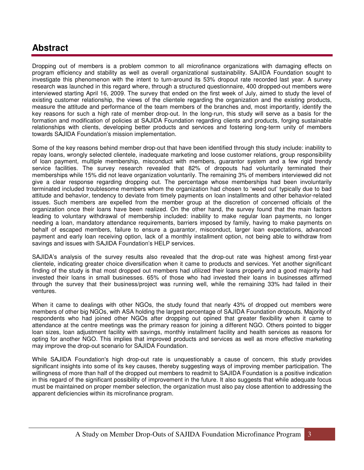### **Abstract**

Dropping out of members is a problem common to all microfinance organizations with damaging effects on program efficiency and stability as well as overall organizational sustainability. SAJIDA Foundation sought to investigate this phenomenon with the intent to turn-around its 53% dropout rate recorded last year. A survey research was launched in this regard where, through a structured questionnaire, 400 dropped-out members were interviewed starting April 16, 2009. The survey that ended on the first week of July, aimed to study the level of existing customer relationship, the views of the clientele regarding the organization and the existing products, measure the attitude and performance of the team members of the branches and, most importantly, identify the key reasons for such a high rate of member drop-out. In the long-run, this study will serve as a basis for the formation and modification of policies at SAJIDA Foundation regarding clients and products, forging sustainable relationships with clients, developing better products and services and fostering long-term unity of members towards SAJIDA Foundation's mission implementation.

Some of the key reasons behind member drop-out that have been identified through this study include: inability to repay loans, wrongly selected clientele, inadequate marketing and loose customer relations, group responsibility of loan payment, multiple membership, misconduct with members, guarantor system and a few rigid trendy service facilities. The survey research revealed that 82% of dropouts had voluntarily terminated their memberships while 15% did not leave organization voluntarily. The remaining 3% of members interviewed did not give a clear response regarding dropping out. The percentage whose memberships had been involuntarily terminated included troublesome members whom the organization had chosen to 'weed out' typically due to bad attitude and behavior, tendency to deviate from timely payments on loan installments and other behavior-related issues. Such members are expelled from the member group at the discretion of concerned officials of the organization once their loans have been realized. On the other hand, the survey found that the main factors leading to voluntary withdrawal of membership included: inability to make regular loan payments, no longer needing a loan, mandatory attendance requirements, barriers imposed by family, having to make payments on behalf of escaped members, failure to ensure a guarantor, misconduct, larger loan expectations, advanced payment and early loan receiving option, lack of a monthly installment option, not being able to withdraw from savings and issues with SAJIDA Foundation's HELP services.

SAJIDA's analysis of the survey results also revealed that the drop-out rate was highest among first-year clientele, indicating greater choice diversification when it came to products and services. Yet another significant finding of the study is that most dropped out members had utilized their loans properly and a good majority had invested their loans in small businesses. 65% of those who had invested their loans in businesses affirmed through the survey that their business/project was running well, while the remaining 33% had failed in their ventures.

When it came to dealings with other NGOs, the study found that nearly 43% of dropped out members were members of other big NGOs, with ASA holding the largest percentage of SAJIDA Foundation dropouts. Majority of respondents who had joined other NGOs after dropping out opined that greater flexibility when it came to attendance at the centre meetings was the primary reason for joining a different NGO. Others pointed to bigger loan sizes, loan adjustment facility with savings, monthly installment facility and health services as reasons for opting for another NGO. This implies that improved products and services as well as more effective marketing may improve the drop-out scenario for SAJIDA Foundation.

While SAJIDA Foundation's high drop-out rate is unquestionably a cause of concern, this study provides significant insights into some of its key causes, thereby suggesting ways of improving member participation. The willingness of more than half of the dropped out members to readmit to SAJIDA Foundation is a positive indication in this regard of the significant possibility of improvement in the future. It also suggests that while adequate focus must be maintained on proper member selection, the organization must also pay close attention to addressing the apparent deficiencies within its microfinance program.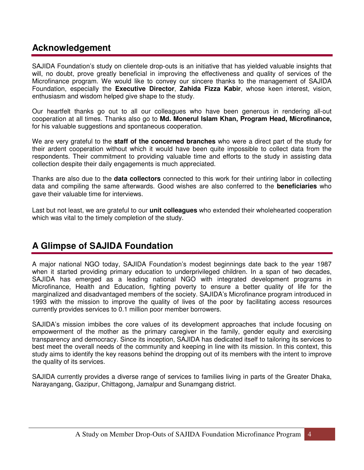### **Acknowledgement**

SAJIDA Foundation's study on clientele drop-outs is an initiative that has yielded valuable insights that will, no doubt, prove greatly beneficial in improving the effectiveness and quality of services of the Microfinance program. We would like to convey our sincere thanks to the management of SAJIDA Foundation, especially the **Executive Director**, **Zahida Fizza Kabir**, whose keen interest, vision, enthusiasm and wisdom helped give shape to the study.

Our heartfelt thanks go out to all our colleagues who have been generous in rendering all-out cooperation at all times. Thanks also go to **Md. Monerul Islam Khan, Program Head, Microfinance,** for his valuable suggestions and spontaneous cooperation.

We are very grateful to the **staff of the concerned branches** who were a direct part of the study for their ardent cooperation without which it would have been quite impossible to collect data from the respondents. Their commitment to providing valuable time and efforts to the study in assisting data collection despite their daily engagements is much appreciated.

Thanks are also due to the **data collectors** connected to this work for their untiring labor in collecting data and compiling the same afterwards. Good wishes are also conferred to the **beneficiaries** who gave their valuable time for interviews.

Last but not least, we are grateful to our **unit colleagues** who extended their wholehearted cooperation which was vital to the timely completion of the study.

### **A Glimpse of SAJIDA Foundation**

A major national NGO today, SAJIDA Foundation's modest beginnings date back to the year 1987 when it started providing primary education to underprivileged children. In a span of two decades, SAJIDA has emerged as a leading national NGO with integrated development programs in Microfinance, Health and Education, fighting poverty to ensure a better quality of life for the marginalized and disadvantaged members of the society. SAJIDA's Microfinance program introduced in 1993 with the mission to improve the quality of lives of the poor by facilitating access resources currently provides services to 0.1 million poor member borrowers.

SAJIDA's mission imbibes the core values of its development approaches that include focusing on empowerment of the mother as the primary caregiver in the family, gender equity and exercising transparency and democracy. Since its inception, SAJIDA has dedicated itself to tailoring its services to best meet the overall needs of the community and keeping in line with its mission. In this context, this study aims to identify the key reasons behind the dropping out of its members with the intent to improve the quality of its services.

SAJIDA currently provides a diverse range of services to families living in parts of the Greater Dhaka, Narayangang, Gazipur, Chittagong, Jamalpur and Sunamgang district.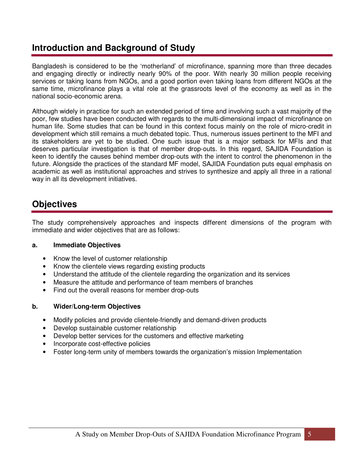### **Introduction and Background of Study**

Bangladesh is considered to be the 'motherland' of microfinance, spanning more than three decades and engaging directly or indirectly nearly 90% of the poor. With nearly 30 million people receiving services or taking loans from NGOs, and a good portion even taking loans from different NGOs at the same time, microfinance plays a vital role at the grassroots level of the economy as well as in the national socio-economic arena.

Although widely in practice for such an extended period of time and involving such a vast majority of the poor, few studies have been conducted with regards to the multi-dimensional impact of microfinance on human life. Some studies that can be found in this context focus mainly on the role of micro-credit in development which still remains a much debated topic. Thus, numerous issues pertinent to the MFI and its stakeholders are yet to be studied. One such issue that is a major setback for MFIs and that deserves particular investigation is that of member drop-outs. In this regard, SAJIDA Foundation is keen to identify the causes behind member drop-outs with the intent to control the phenomenon in the future. Alongside the practices of the standard MF model, SAJIDA Foundation puts equal emphasis on academic as well as institutional approaches and strives to synthesize and apply all three in a rational way in all its development initiatives.

### **Objectives**

The study comprehensively approaches and inspects different dimensions of the program with immediate and wider objectives that are as follows:

### **a. Immediate Objectives**

- Know the level of customer relationship
- Know the clientele views regarding existing products
- Understand the attitude of the clientele regarding the organization and its services
- Measure the attitude and performance of team members of branches
- Find out the overall reasons for member drop-outs

#### **b. Wider/Long-term Objectives**

- Modify policies and provide clientele-friendly and demand-driven products
- Develop sustainable customer relationship
- Develop better services for the customers and effective marketing
- Incorporate cost-effective policies
- Foster long-term unity of members towards the organization's mission Implementation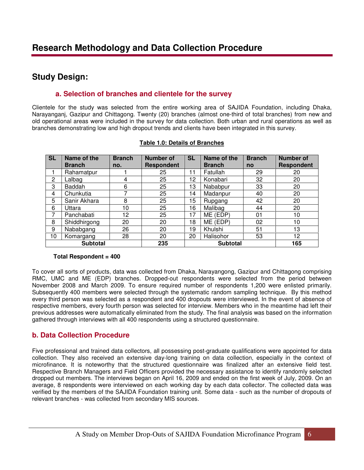### **Study Design:**

### **a. Selection of branches and clientele for the survey**

Clientele for the study was selected from the entire working area of SAJIDA Foundation, including Dhaka, Narayanganj, Gazipur and Chittagong. Twenty (20) branches (almost one-third of total branches) from new and old operational areas were included in the survey for data collection. Both urban and rural operations as well as branches demonstrating low and high dropout trends and clients have been integrated in this survey.

| <b>SL</b>      | Name of the<br><b>Branch</b> | <b>Branch</b><br>no. | <b>Number of</b><br><b>Respondent</b> | <b>SL</b>       | Name of the<br><b>Branch</b> | <b>Branch</b><br>no | <b>Number of</b><br><b>Respondent</b> |
|----------------|------------------------------|----------------------|---------------------------------------|-----------------|------------------------------|---------------------|---------------------------------------|
|                | Rahamatpur                   |                      | 25                                    | 11              | Fatullah                     | 29                  | 20                                    |
| $\overline{2}$ | Lalbag                       | 4                    | 25                                    | 12              | Konabari                     | 32                  | 20                                    |
| 3              | <b>Baddah</b>                | 6                    | 25                                    | 13              | Nababpur                     | 33                  | 20                                    |
| 4              | Chunkutia                    |                      | 25                                    | 14              | Madanpur                     | 40                  | 20                                    |
| 5              | Sanir Akhara                 | 8                    | 25                                    | 15              | Rupgang                      | 42                  | 20                                    |
| 6              | Uttara                       | 10                   | 25                                    | 16              | Malibag                      | 44                  | 20                                    |
| 7              | Panchabati                   | 12                   | 25                                    | 17              | ME (EDP)                     | 01                  | 10                                    |
| 8              | Shiddhirgong                 | 20                   | 20                                    | 18              | ME (EDP)                     | 02                  | 10                                    |
| 9              | Nababgang                    | 26                   | 20                                    | 19              | Khulshi                      | 51                  | 13                                    |
| 10             | Komargang                    | 28                   | 20                                    | 20              | Halisohor                    | 53                  | 12 <sub>2</sub>                       |
|                | <b>Subtotal</b>              |                      | 235                                   | <b>Subtotal</b> |                              |                     | 165                                   |

#### **Table 1.0: Details of Branches**

#### **Total Respondent = 400**

To cover all sorts of products, data was collected from Dhaka, Narayangong, Gazipur and Chittagong comprising RMC, UMC and ME (EDP) branches. Dropped-out respondents were selected from the period between November 2008 and March 2009. To ensure required number of respondents 1,200 were enlisted primarily. Subsequently 400 members were selected through the systematic random sampling technique. By this method every third person was selected as a respondent and 400 dropouts were interviewed. In the event of absence of respective members, every fourth person was selected for interview. Members who in the meantime had left their previous addresses were automatically eliminated from the study. The final analysis was based on the information gathered through interviews with all 400 respondents using a structured questionnaire.

### **b. Data Collection Procedure**

Five professional and trained data collectors, all possessing post-graduate qualifications were appointed for data collection. They also received an extensive day-long training on data collection, especially in the context of microfinance. It is noteworthy that the structured questionnaire was finalized after an extensive field test. Respective Branch Managers and Field Officers provided the necessary assistance to identify randomly selected dropped out members. The interviews began on April 16, 2009 and ended on the first week of July, 2009. On an average, 8 respondents were interviewed on each working day by each data collector. The collected data was verified by the members of the SAJIDA Foundation training unit. Some data - such as the number of dropouts of relevant branches - was collected from secondary MIS sources.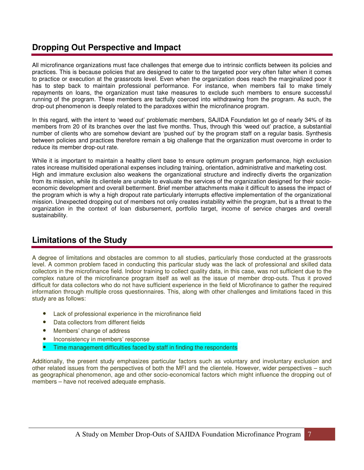### **Dropping Out Perspective and Impact**

All microfinance organizations must face challenges that emerge due to intrinsic conflicts between its policies and practices. This is because policies that are designed to cater to the targeted poor very often falter when it comes to practice or execution at the grassroots level. Even when the organization does reach the marginalized poor it has to step back to maintain professional performance. For instance, when members fail to make timely repayments on loans, the organization must take measures to exclude such members to ensure successful running of the program. These members are tactfully coerced into withdrawing from the program. As such, the drop-out phenomenon is deeply related to the paradoxes within the microfinance program.

In this regard, with the intent to 'weed out' problematic members, SAJIDA Foundation let go of nearly 34% of its members from 20 of its branches over the last five months. Thus, through this 'weed out' practice, a substantial number of clients who are somehow deviant are 'pushed out' by the program staff on a regular basis. Synthesis between policies and practices therefore remain a big challenge that the organization must overcome in order to reduce its member drop-out rate.

While it is important to maintain a healthy client base to ensure optimum program performance, high exclusion rates increase multisided operational expenses including training, orientation, administrative and marketing cost. High and immature exclusion also weakens the organizational structure and indirectly diverts the organization from its mission, while its clientele are unable to evaluate the services of the organization designed for their socioeconomic development and overall betterment. Brief member attachments make it difficult to assess the impact of the program which is why a high dropout rate particularly interrupts effective implementation of the organizational mission. Unexpected dropping out of members not only creates instability within the program, but is a threat to the organization in the context of loan disbursement, portfolio target, income of service charges and overall sustainability.

### **Limitations of the Study**

A degree of limitations and obstacles are common to all studies, particularly those conducted at the grassroots level. A common problem faced in conducting this particular study was the lack of professional and skilled data collectors in the microfinance field. Indoor training to collect quality data, in this case, was not sufficient due to the complex nature of the microfinance program itself as well as the issue of member drop-outs. Thus it proved difficult for data collectors who do not have sufficient experience in the field of Microfinance to gather the required information through multiple cross questionnaires. This, along with other challenges and limitations faced in this study are as follows:

- Lack of professional experience in the microfinance field
- Data collectors from different fields
- Members' change of address
- Inconsistency in members' response
- Time management difficulties faced by staff in finding the respondents

Additionally, the present study emphasizes particular factors such as voluntary and involuntary exclusion and other related issues from the perspectives of both the MFI and the clientele. However, wider perspectives – such as geographical phenomenon, age and other socio-economical factors which might influence the dropping out of members – have not received adequate emphasis.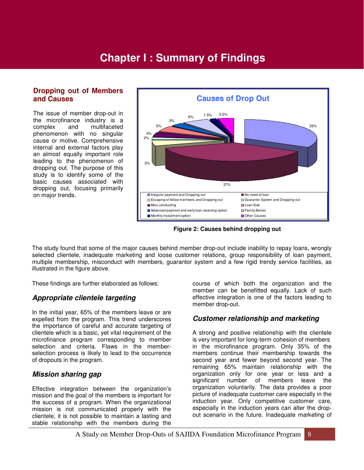## **Chapter I : Summary of Findings**

#### **Dropping out of Members and Causes**

The issue of member drop-out in the microfinance industry is a complex and multifaceted phenomenon with no singular cause or motive. Comprehensive internal and external factors play an almost equally important role leading to the phenomenon of dropping out. The purpose of this study is to identify some of the basic causes associated with dropping out, focusing primarily on major trends.



**Figure 2: Causes behind dropping out**

The study found that some of the major causes behind member drop-out include inability to repay loans, wrongly selected clientele, inadequate marketing and loose customer relations, group responsibility of loan payment, multiple membership, misconduct with members, guarantor system and a few rigid trendy service facilities, as illustrated in the figure above.

These findings are further elaborated as follows:

### **Appropriate clientele targeting**

In the initial year, 65% of the members leave or are expelled from the program. This trend underscores the importance of careful and accurate targeting of clientele which is a basic, yet vital requirement of the microfinance program corresponding to member selection and criteria. Flaws in the memberselection process is likely to lead to the occurrence of dropouts in the program.

### **Mission sharing gap**

Effective integration between the organization's mission and the goal of the members is important for the success of a program. When the organizational mission is not communicated properly with the clientele, it is not possible to maintain a lasting and stable relationship with the members during the

course of which both the organization and the member can be benefitted equally. Lack of such effective integration is one of the factors leading to member drop-out.

### **Customer relationship and marketing**

A strong and positive relationship with the clientele is very important for long-term cohesion of members in the microfinance program. Only 35% of the members continue their membership towards the second year and fewer beyond second year. The remaining 65% maintain relationship with the organization only for one year or less and a significant number of members leave the organization voluntarily. The data provides a poor picture of inadequate customer care especially in the induction year. Only competitive customer care, especially in the induction years can alter the dropout scenario in the future. Inadequate marketing of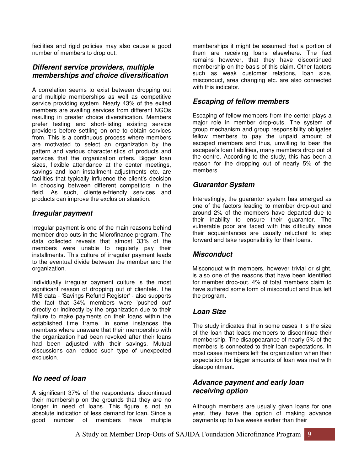facilities and rigid policies may also cause a good number of members to drop out.

### **Different service providers, multiple memberships and choice diversification**

A correlation seems to exist between dropping out and multiple memberships as well as competitive service providing system. Nearly 43% of the exited members are availing services from different NGOs resulting in greater choice diversification. Members prefer testing and short-listing existing service providers before settling on one to obtain services from. This is a continuous process where members are motivated to select an organization by the pattern and various characteristics of products and services that the organization offers. Bigger loan sizes, flexible attendance at the center meetings, savings and loan installment adjustments etc. are facilities that typically influence the client's decision in choosing between different competitors in the field. As such, clientele-friendly services and products can improve the exclusion situation.

### **Irregular payment**

Irregular payment is one of the main reasons behind member drop-outs in the Microfinance program. The data collected reveals that almost 33% of the members were unable to regularly pay their installments. This culture of irregular payment leads to the eventual divide between the member and the organization.

Individually irregular payment culture is the most significant reason of dropping out of clientele. The MIS data - 'Savings Refund Register' - also supports the fact that 34% members were 'pushed out' directly or indirectly by the organization due to their failure to make payments on their loans within the established time frame. In some instances the members where unaware that their membership with the organization had been revoked after their loans had been adjusted with their savings. Mutual discussions can reduce such type of unexpected exclusion.

### **No need of loan**

A significant 37% of the respondents discontinued their membership on the grounds that they are no longer in need of loans. This figure is not an absolute indication of less demand for loan. Since a good number of members have multiple

memberships it might be assumed that a portion of them are receiving loans elsewhere. The fact remains however, that they have discontinued membership on the basis of this claim. Other factors such as weak customer relations, loan size, misconduct, area changing etc. are also connected with this indicator.

### **Escaping of fellow members**

Escaping of fellow members from the center plays a major role in member drop-outs. The system of group mechanism and group responsibility obligates fellow members to pay the unpaid amount of escaped members and thus, unwilling to bear the escapee's loan liabilities, many members drop out of the centre. According to the study, this has been a reason for the dropping out of nearly 5% of the members.

### **Guarantor System**

Interestingly, the guarantor system has emerged as one of the factors leading to member drop-out and around 2% of the members have departed due to their inability to ensure their guarantor. The vulnerable poor are faced with this difficulty since their acquaintances are usually reluctant to step forward and take responsibility for their loans.

### **Misconduct**

Misconduct with members, however trivial or slight, is also one of the reasons that have been identified for member drop-out. 4% of total members claim to have suffered some form of misconduct and thus left the program.

### **Loan Size**

The study indicates that in some cases it is the size of the loan that leads members to discontinue their membership. The disappearance of nearly 5% of the members is connected to their loan expectations. In most cases members left the organization when their expectation for bigger amounts of loan was met with disappointment.

### **Advance payment and early loan receiving option**

Although members are usually given loans for one year, they have the option of making advance payments up to five weeks earlier than their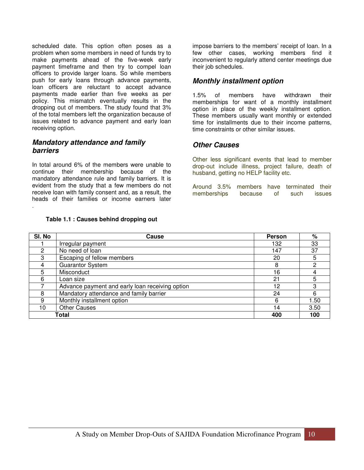scheduled date. This option often poses as a problem when some members in need of funds try to make payments ahead of the five-week early payment timeframe and then try to compel loan officers to provide larger loans. So while members push for early loans through advance payments, loan officers are reluctant to accept advance payments made earlier than five weeks as per policy. This mismatch eventually results in the dropping out of members. The study found that 3% of the total members left the organization because of issues related to advance payment and early loan receiving option.

#### **Mandatory attendance and family barriers**

.

In total around 6% of the members were unable to continue their membership because of the mandatory attendance rule and family barriers. It is evident from the study that a few members do not receive loan with family consent and, as a result, the heads of their families or income earners later

**Table 1.1 : Causes behind dropping out** 

impose barriers to the members' receipt of loan. In a few other cases, working members find it inconvenient to regularly attend center meetings due their job schedules.

### **Monthly installment option**

1.5% of members have withdrawn their memberships for want of a monthly installment option in place of the weekly installment option. These members usually want monthly or extended time for installments due to their income patterns, time constraints or other similar issues.

### **Other Causes**

Other less significant events that lead to member drop-out include illness, project failure, death of husband, getting no HELP facility etc.

Around 3.5% members have terminated their memberships because of such issues

| SI. No | Cause                                           | <b>Person</b> | %    |
|--------|-------------------------------------------------|---------------|------|
|        | Irregular payment                               | 132           | 33   |
| 2      | No need of loan                                 | 147           | 37   |
| 3      | Escaping of fellow members                      | 20            | 5    |
|        | <b>Guarantor System</b>                         | 8             | 2    |
| 5      | Misconduct                                      | 16            |      |
| 6      | Loan size                                       | 21            |      |
|        | Advance payment and early loan receiving option | 12            |      |
| 8      | Mandatory attendance and family barrier         | 24            | 6    |
| 9      | Monthly installment option                      | 6             | 1.50 |
| 10     | <b>Other Causes</b>                             | 14            | 3.50 |
|        | Total                                           | 400           | 100  |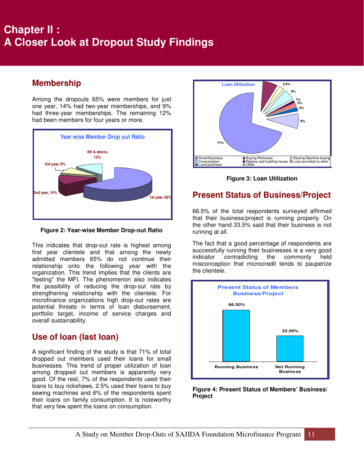# **A Closer Look at Dropout Study Findings Chapter II :**

### **Membership**

Among the dropouts 65% were members for just one year, 14% had two-year memberships, and 9% had three-year memberships. The remaining 12% had been members for four years or more.



**Figure 2: Year-wise Member Drop-out Ratio** 

This indicates that drop-out rate is highest among first year clientele and that among the newly admitted members 65% do not continue their relationship onto the following year with the organization. This trend implies that the clients are "testing" the MFI. The phenomenon also indicates the possibility of reducing the drop-out rate by strengthening relationship with the clientele. For microfinance organizations high drop-out rates are potential threats in terms of loan disbursement, portfolio target, income of service charges and overall sustainability.

### **Use of loan (last loan)**

A significant finding of the study is that 71% of total dropped out members used their loans for small businesses. This trend of proper utilization of loan among dropped out members is apparently very good. Of the rest, 7% of the respondents used their loans to buy rickshaws, 2.5% used their loans to buy sewing machines and 6% of the respondents spent their loans on family consumption. It is noteworthy that very few spent the loans on consumption.



**Figure 3: Loan Utilization** 

### **Present Status of Business/Project**

66.5% of the total respondents surveyed affirmed that their business/project is running properly. On the other hand 33.5% said that their business is not running at all.

The fact that a good percentage of respondents are successfully running their businesses is a very good indicator contradicting the commonly held misconception that microcredit tends to pauperize the clientele.



**Figure 4: Present Status of Members' Business/ Project**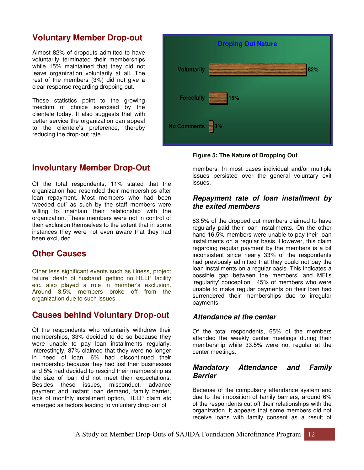### **Voluntary Member Drop-out**

Almost 82% of dropouts admitted to have voluntarily terminated their memberships while 15% maintained that they did not leave organization voluntarily at all. The rest of the members (3%) did not give a clear response regarding dropping out.

These statistics point to the growing freedom of choice exercised by the clientele today. It also suggests that with better service the organization can appeal to the clientele's preference, thereby reducing the drop-out rate.



### **Involuntary Member Drop-Out**

Of the total respondents, 11% stated that the organization had rescinded their memberships after loan repayment. Most members who had been 'weeded out' as such by the staff members were willing to maintain their relationship with the organization. These members were not in control of their exclusion themselves to the extent that in some instances they were not even aware that they had been excluded.

### **Other Causes**

Other less significant events such as illness, project failure, death of husband, getting no HELP facility etc. also played a role in member's exclusion. Around 3.5% members broke off from the organization due to such issues.

### **Causes behind Voluntary Drop-out**

Of the respondents who voluntarily withdrew their memberships, 33% decided to do so because they were unable to pay loan installments regularly. Interestingly, 37% claimed that they were no longer in need of loan. 6% had discontinued their membership because they had lost their businesses and 5% had decided to rescind their membership as the size of loan did not meet their expectations. Besides these issues, misconduct, advance payment and instant loan demand, family barrier, lack of monthly installment option, HELP claim etc emerged as factors leading to voluntary drop-out of

#### **Figure 5: The Nature of Dropping Out**

members. In most cases individual and/or multiple issues persisted over the general voluntary exit issues.

#### **Repayment rate of loan installment by the exited members**

83.5% of the dropped out members claimed to have regularly paid their loan installments. On the other hand 16.5% members were unable to pay their loan installments on a regular basis. However, this claim regarding regular payment by the members is a bit inconsistent since nearly 33% of the respondents had previously admitted that they could not pay the loan installments on a regular basis. This indicates a possible gap between the members' and MFI's 'regularity' conception. 45% of members who were unable to make regular payments on their loan had surrendered their memberships due to irregular payments.

### **Attendance at the center**

Of the total respondents, 65% of the members attended the weekly center meetings during their membership while 33.5% were not regular at the center meetings.

### **Mandatory Attendance and Family Barrier**

Because of the compulsory attendance system and due to the imposition of family barriers, around 6% of the respondents cut off their relationships with the organization. It appears that some members did not receive loans with family consent as a result of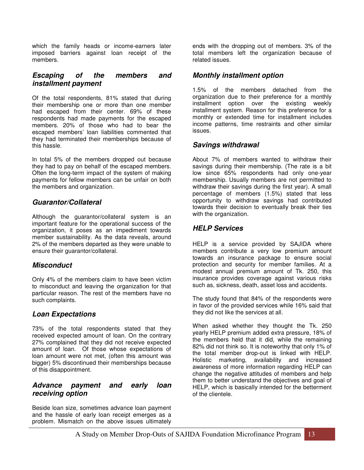which the family heads or income-earners later imposed barriers against loan receipt of the members.

#### **Escaping of the members and installment payment**

Of the total respondents, 81% stated that during their membership one or more than one member had escaped from their center. 69% of these respondents had made payments for the escaped members. 20% of those who had to bear the escaped members' loan liabilities commented that they had terminated their memberships because of this hassle.

In total 5% of the members dropped out because they had to pay on behalf of the escaped members. Often the long-term impact of the system of making payments for fellow members can be unfair on both the members and organization.

### **Guarantor/Collateral**

Although the guarantor/collateral system is an important feature for the operational success of the organization, it poses as an impediment towards member sustainability. As the data reveals, around 2% of the members departed as they were unable to ensure their guarantor/collateral.

### **Misconduct**

Only 4% of the members claim to have been victim to misconduct and leaving the organization for that particular reason. The rest of the members have no such complaints.

### **Loan Expectations**

73% of the total respondents stated that they received expected amount of loan. On the contrary 27% complained that they did not receive expected amount of loan. Of those whose expectations of loan amount were not met, (often this amount was bigger) 5% discontinued their memberships because of this disappointment.

### **Advance payment and early loan receiving option**

Beside loan size, sometimes advance loan payment and the hassle of early loan receipt emerges as a problem. Mismatch on the above issues ultimately

ends with the dropping out of members. 3% of the total members left the organization because of related issues.

#### **Monthly installment option**

1.5% of the members detached from the organization due to their preference for a monthly installment option over the existing weekly installment system. Reason for this preference for a monthly or extended time for installment includes income patterns, time restraints and other similar issues.

#### **Savings withdrawal**

About 7% of members wanted to withdraw their savings during their membership. (The rate is a bit low since 65% respondents had only one-year membership. Usually members are not permitted to withdraw their savings during the first year). A small percentage of members (1.5%) stated that less opportunity to withdraw savings had contributed towards their decision to eventually break their ties with the organization.

### **HELP Services**

HELP is a service provided by SAJIDA where members contribute a very low premium amount towards an insurance package to ensure social protection and security for member families. At a modest annual premium amount of Tk. 250, this insurance provides coverage against various risks such as, sickness, death, asset loss and accidents.

The study found that 84% of the respondents were in favor of the provided services while 16% said that they did not like the services at all.

When asked whether they thought the Tk. 250 yearly HELP premium added extra pressure, 18% of the members held that it did, while the remaining 82% did not think so. It is noteworthy that only 1% of the total member drop-out is linked with HELP. Holistic marketing, availability and increased awareness of more information regarding HELP can change the negative attitudes of members and help them to better understand the objectives and goal of HELP, which is basically intended for the betterment of the clientele.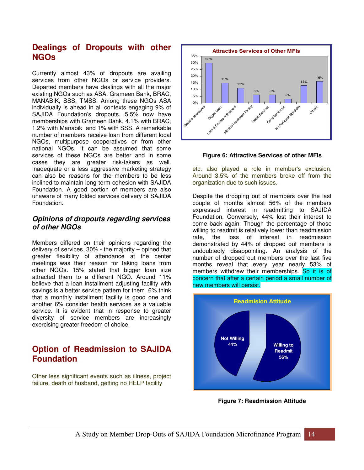### **Dealings of Dropouts with other NGOs**

Currently almost 43% of dropouts are availing services from other NGOs or service providers. Departed members have dealings with all the major existing NGOs such as ASA, Grameen Bank, BRAC, MANABIK, SSS, TMSS. Among these NGOs ASA individually is ahead in all contexts engaging 9% of SAJIDA Foundation's dropouts. 5.5% now have memberships with Grameen Bank, 4.1% with BRAC, 1.2% with Manabik and 1% with SSS. A remarkable number of members receive loan from different local NGOs, multipurpose cooperatives or from other national NGOs. It can be assumed that some services of these NGOs are better and in some cases they are greater risk-takers as well. Inadequate or a less aggressive marketing strategy can also be reasons for the members to be less inclined to maintain long-term cohesion with SAJIDA Foundation. A good portion of members are also unaware of many folded services delivery of SAJIDA Foundation.

### **Opinions of dropouts regarding services of other NGOs**

Members differed on their opinions regarding the delivery of services. 30% - the majority – opined that greater flexibility of attendance at the center meetings was their reason for taking loans from other NGOs. 15% stated that bigger loan size attracted them to a different NGO. Around 11% believe that a loan installment adjusting facility with savings is a better service pattern for them. 6% think that a monthly installment facility is good one and another 6% consider health services as a valuable service. It is evident that in response to greater diversity of service members are increasingly exercising greater freedom of choice.

### **Option of Readmission to SAJIDA Foundation**

Other less significant events such as illness, project failure, death of husband, getting no HELP facility



#### **Figure 6: Attractive Services of other MFIs**

etc. also played a role in member's exclusion. Around 3.5% of the members broke off from the organization due to such issues.

Despite the dropping out of members over the last couple of months almost 56% of the members expressed interest in readmitting to SAJIDA Foundation. Conversely, 44% lost their interest to come back again. Though the percentage of those willing to readmit is relatively lower than readmission rate, the loss of interest in readmission demonstrated by 44% of dropped out members is undoubtedly disappointing. An analysis of the number of dropped out members over the last five months reveal that every year nearly 53% of members withdrew their memberships. So it is of concern that after a certain period a small number of new members will persist.



**Figure 7: Readmission Attitude**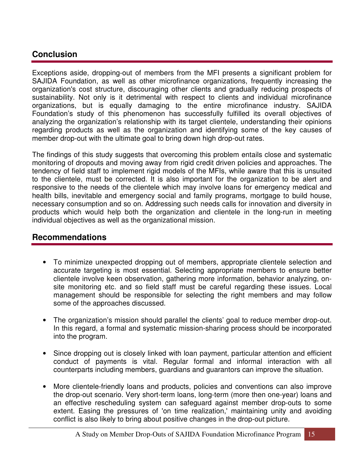### **Conclusion**

Exceptions aside, dropping-out of members from the MFI presents a significant problem for SAJIDA Foundation, as well as other microfinance organizations, frequently increasing the organization's cost structure, discouraging other clients and gradually reducing prospects of sustainability. Not only is it detrimental with respect to clients and individual microfinance organizations, but is equally damaging to the entire microfinance industry. SAJIDA Foundation's study of this phenomenon has successfully fulfilled its overall objectives of analyzing the organization's relationship with its target clientele, understanding their opinions regarding products as well as the organization and identifying some of the key causes of member drop-out with the ultimate goal to bring down high drop-out rates.

The findings of this study suggests that overcoming this problem entails close and systematic monitoring of dropouts and moving away from rigid credit driven policies and approaches. The tendency of field staff to implement rigid models of the MFIs, while aware that this is unsuited to the clientele, must be corrected. It is also important for the organization to be alert and responsive to the needs of the clientele which may involve loans for emergency medical and health bills, inevitable and emergency social and family programs, mortgage to build house, necessary consumption and so on. Addressing such needs calls for innovation and diversity in products which would help both the organization and clientele in the long-run in meeting individual objectives as well as the organizational mission.

### **Recommendations**

- To minimize unexpected dropping out of members, appropriate clientele selection and accurate targeting is most essential. Selecting appropriate members to ensure better clientele involve keen observation, gathering more information, behavior analyzing, onsite monitoring etc. and so field staff must be careful regarding these issues. Local management should be responsible for selecting the right members and may follow some of the approaches discussed.
- The organization's mission should parallel the clients' goal to reduce member drop-out. In this regard, a formal and systematic mission-sharing process should be incorporated into the program.
- Since dropping out is closely linked with loan payment, particular attention and efficient conduct of payments is vital. Regular formal and informal interaction with all counterparts including members, guardians and guarantors can improve the situation.
- More clientele-friendly loans and products, policies and conventions can also improve the drop-out scenario. Very short-term loans, long-term (more then one-year) loans and an effective rescheduling system can safeguard against member drop-outs to some extent. Easing the pressures of 'on time realization,' maintaining unity and avoiding conflict is also likely to bring about positive changes in the drop-out picture.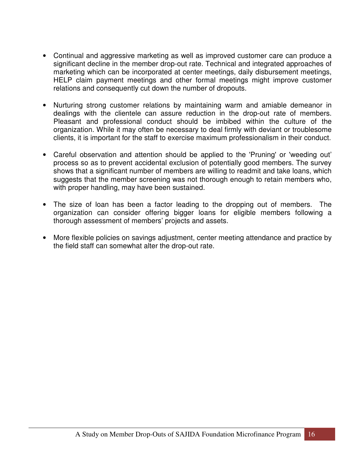- Continual and aggressive marketing as well as improved customer care can produce a significant decline in the member drop-out rate. Technical and integrated approaches of marketing which can be incorporated at center meetings, daily disbursement meetings, HELP claim payment meetings and other formal meetings might improve customer relations and consequently cut down the number of dropouts.
- Nurturing strong customer relations by maintaining warm and amiable demeanor in dealings with the clientele can assure reduction in the drop-out rate of members. Pleasant and professional conduct should be imbibed within the culture of the organization. While it may often be necessary to deal firmly with deviant or troublesome clients, it is important for the staff to exercise maximum professionalism in their conduct.
- Careful observation and attention should be applied to the 'Pruning' or 'weeding out' process so as to prevent accidental exclusion of potentially good members. The survey shows that a significant number of members are willing to readmit and take loans, which suggests that the member screening was not thorough enough to retain members who, with proper handling, may have been sustained.
- The size of loan has been a factor leading to the dropping out of members. The organization can consider offering bigger loans for eligible members following a thorough assessment of members' projects and assets.
- More flexible policies on savings adjustment, center meeting attendance and practice by the field staff can somewhat alter the drop-out rate.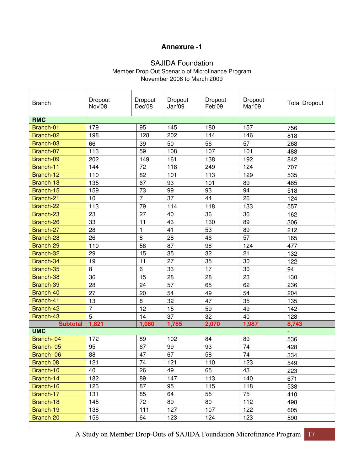### **Annexure -1**

### SAJIDA Foundation

Member Drop Out Scenario of Microfinance Program November 2008 to March 2009

| <b>Branch</b>   | Dropout<br>Nov'08 | Dropout<br>Dec'08 | Dropout<br>Jan'09 | Dropout<br>Feb'09 | Dropout<br>Mar'09 | <b>Total Dropout</b> |
|-----------------|-------------------|-------------------|-------------------|-------------------|-------------------|----------------------|
| <b>RMC</b>      |                   |                   |                   |                   |                   |                      |
| Branch-01       | 179               | 95                | 145               | 180               | 157               | 756                  |
| Branch-02       | 198               | 128               | 202               | 144               | 146               | 818                  |
| Branch-03       | 66                | 39                | 50                | 56                | 57                | 268                  |
| Branch-07       | 113               | 59                | 108               | 107               | 101               | 488                  |
| Branch-09       | 202               | 149               | 161               | 138               | 192               | 842                  |
| Branch-11       | 144               | 72                | 118               | 249               | 124               | 707                  |
| Branch-12       | 110               | 82                | 101               | 113               | 129               | 535                  |
| Branch-13       | 135               | 67                | 93                | 101               | 89                | 485                  |
| Branch-15       | 159               | 73                | 99                | 93                | 94                | 518                  |
| Branch-21       | 10                | $\overline{7}$    | 37                | 44                | 26                | 124                  |
| Branch-22       | 113               | 79                | 114               | 118               | 133               | 557                  |
| Branch-23       | 23                | 27                | 40                | 36                | 36                | 162                  |
| Branch-26       | 33                | 11                | 43                | 130               | 89                | 306                  |
| Branch-27       | 28                | $\mathbf{1}$      | 41                | 53                | 89                | 212                  |
| Branch-28       | 26                | 8                 | 28                | 46                | 57                | 165                  |
| Branch-29       | 110               | 58                | 87                | 98                | 124               | 477                  |
| Branch-32       | 29                | 15                | 35                | 32                | 21                | 132                  |
| Branch-34       | 19                | 11                | 27                | 35                | 30                | 122                  |
| Branch-35       | 8                 | 6                 | 33                | 17                | 30                | 94                   |
| Branch-38       | 36                | 15                | 28                | 28                | 23                | 130                  |
| Branch-39       | 28                | 24                | 57                | 65                | 62                | 236                  |
| Branch-40       | 27                | 20                | 54                | 49                | 54                | 204                  |
| Branch-41       | 13                | 8                 | 32                | 47                | 35                | 135                  |
| Branch-42       | $\overline{7}$    | 12                | 15                | 59                | 49                | 142                  |
| Branch-43       | 5                 | 14                | 37                | 32                | 40                | 128                  |
| <b>Subtotal</b> | 1,821             | 1,080             | 1,785             | 2,070             | 1,987             | 8,743                |
| <b>UMC</b>      |                   |                   |                   |                   |                   | L,                   |
| Branch-04       | 172               | 89                | 102               | 84                | 89                | 536                  |
| Branch-05       | 95                | 67                | 99                | 93                | 74                | 428                  |
| Branch-06       | 88                | 47                | 67                | 58                | 74                | 334                  |
| Branch 08       | 121               | 74                | 121               | 110               | 123               | 549                  |
| Branch-10       | 40                | 26                | 49                | 65                | 43                | 223                  |
| Branch-14       | 182               | 89                | 147               | 113               | 140               | 671                  |
| Branch-16       | 123               | 87                | 95                | 115               | 118               | 538                  |
| Branch-17       | 131               | 85                | 64                | 55                | 75                | 410                  |
| Branch-18       | 145               | 72                | 89                | 80                | 112               | 498                  |
| Branch-19       | 138               | 111               | 127               | 107               | 122               | 605                  |
| Branch-20       | 156               | 64                | 123               | 124               | 123               | 590                  |

A Study on Member Drop-Outs of SAJIDA Foundation Microfinance Program 17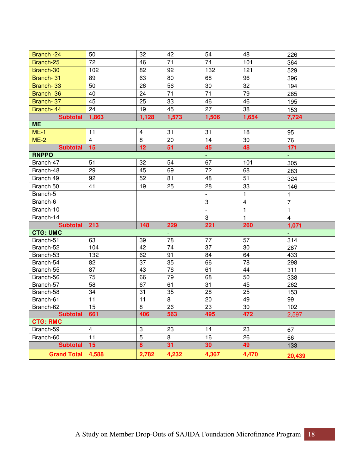| Branch -24         | 50              | 32                      | 42    | 54               | 48              | 226            |
|--------------------|-----------------|-------------------------|-------|------------------|-----------------|----------------|
| Branch-25          | 72              | 46                      | 71    | 74               | 101             | 364            |
| Branch-30          | 102             | 82                      | 92    | 132              | 121             | 529            |
| Branch-31          | 89              | 63                      | 80    | 68               | 96              | 396            |
| Branch-33          | 50              | 26                      | 56    | 30               | 32              | 194            |
| Branch-36          | 40              | 24                      | 71    | 71               | 79              | 285            |
| Branch-37          | 45              | 25                      | 33    | 46               | 46              | 195            |
| Branch-44          | 24              | 19                      | 45    | 27               | 38              | 153            |
| <b>Subtotal</b>    | 1,863           | 1,128                   | 1,573 | 1,506            | 1,654           | 7,724          |
| <b>ME</b>          |                 |                         |       |                  |                 |                |
| $ME-1$             | 11              | $\overline{\mathbf{4}}$ | 31    | 31               | 18              | 95             |
| $ME-2$             | $\overline{4}$  | 8                       | 20    | 14               | 30              | 76             |
| <b>Subtotal</b>    | 15              | 12                      | 51    | 45               | 48              | 171            |
| <b>RNPPO</b>       |                 |                         |       | $\omega_{\rm c}$ |                 | ÷,             |
| Branch-47          | 51              | 32                      | 54    | 67               | 101             | 305            |
| Branch-48          | 29              | 45                      | 69    | 72               | 68              | 283            |
| Branch 49          | 92              | 52                      | 81    | 48               | 51              | 324            |
| Branch 50          | 41              | 19                      | 25    | 28               | 33              | 146            |
| Branch-5           |                 |                         |       | $\mathbb{L}$     | $\mathbf{1}$    | $\mathbf{1}$   |
| Branch-6           |                 |                         |       | 3                | $\overline{4}$  | $\overline{7}$ |
| Branch-10          |                 |                         |       | $\mathbb{L}$     | $\mathbf{1}$    | $\mathbf{1}$   |
| Branch-14          |                 |                         |       | 3                | $\mathbf{1}$    | $\overline{4}$ |
| <b>Subtotal</b>    | 213             | 148                     | 229   | 221              | 260             | 1,071          |
| <b>CTG: UMC</b>    |                 |                         |       |                  |                 | $\omega$ .     |
| Branch-51          | 63              | 39                      | 78    | 77               | 57              | 314            |
| Branch-52          | 104             | 42                      | 74    | $\overline{37}$  | 30              | 287            |
| Branch-53          | 132             | 62                      | 91    | 84               | 64              | 433            |
| Branch-54          | 82              | 37                      | 35    | 66               | 78              | 298            |
| Branch-55          | 87              | 43                      | 76    | 61               | 44              | 311            |
| Branch-56          | $\overline{75}$ | 66                      | 79    | 68               | 50              | 338            |
| Branch-57          | 58              | 67                      | 61    | 31               | 45              | 262            |
| Branch-58          | 34              | 31                      | 35    | 28               | $\overline{25}$ | 153            |
| Branch-61          | 11              | $\overline{11}$         | 8     | $\overline{20}$  | 49              | 99             |
| Branch-62          | 15              | 8                       | 26    | 23               | 30              | 102            |
| <b>Subtotal</b>    | 661             | 406                     | 563   | 495              | 472             | 2,597          |
| <b>CTG: RMC</b>    |                 | 3                       | 23    |                  | 23              |                |
| Branch-59          | $\overline{4}$  | 5                       | 8     | 14               |                 | 67             |
| Branch-60          | 11              |                         |       | 16               | 26              | 66             |
| <b>Subtotal</b>    | 15              | 8                       | 31    | 30               | 49              | 133            |
| <b>Grand Total</b> | 4,588           | 2,782                   | 4,232 | 4,367            | 4,470           | 20,439         |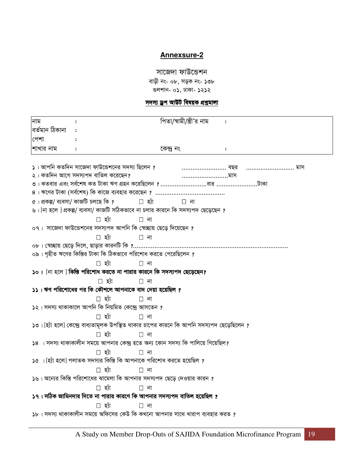### **Annexsure-2**

### সাজেদা ফাউন্ডেশন

বাড়ী নং- ০৮, সড়ক নং- ১৩৮ গুলশান- ০১, ঢাকা- ১২১২

### <u>সদস্য ড্ৰপ আউট বিষয়ক প্ৰশ্নমালা</u>

| নাম                                                                    |                                                                                             |            | পিতা/স্বামী/স্ত্ৰী'র নাম : |  |              |  |
|------------------------------------------------------------------------|---------------------------------------------------------------------------------------------|------------|----------------------------|--|--------------|--|
| বৰ্তমান ঠিকানা                                                         |                                                                                             |            |                            |  |              |  |
| পেশা                                                                   |                                                                                             |            |                            |  |              |  |
| শাখার নাম                                                              |                                                                                             | কেন্দ্ৰ নং |                            |  |              |  |
|                                                                        |                                                                                             |            |                            |  |              |  |
|                                                                        | ১। আপনি কতদিন সাজেদা ফাউন্ডেশনের সদস্য ছিলেন ?                                              |            |                            |  | বছর      মাস |  |
|                                                                        | ২। কতদিন আগে সদস্যপদ বাতিল করেছেন?                                                          |            |                            |  |              |  |
|                                                                        |                                                                                             |            |                            |  |              |  |
|                                                                        | $8$ । ঋণের টাকা (সর্বশেষ) কি কাজে ব্যবহার করেছেন ?                                          |            |                            |  |              |  |
|                                                                        | ৫। প্ৰকল্প/ ব্যবসা/ কাজটি চলছে কি ?                                                         | হ্যা       | না                         |  |              |  |
|                                                                        | ৬। [না হলে ] প্রকল্প/ ব্যবসা/ কাজটি সঠিকভাবে না চলার কারনে কি সদস্যপদ ছেড়েছেন ?            |            |                            |  |              |  |
|                                                                        | হ্না                                                                                        | না         |                            |  |              |  |
|                                                                        | ০৭। সাজেদা ফাউন্ডেশনের সদস্যপদ আপনি কি স্বেচ্ছায় ছেড়ে দিয়েছেন ?                          |            |                            |  |              |  |
|                                                                        | হ্যা                                                                                        | না         |                            |  |              |  |
|                                                                        |                                                                                             |            |                            |  |              |  |
|                                                                        | ০৯। গৃহীত ঋণের কিস্তির টাকা কি ঠিকভাবে পরিশোধ করতে পেরেছিলেন ?                              |            |                            |  |              |  |
|                                                                        | হ্যা                                                                                        | না         |                            |  |              |  |
|                                                                        | ১০। [না হলে ] কিন্তি পরিশোধ করতে না পারার কারনে কি সদস্যপদ ছেড়েছেন?                        |            |                            |  |              |  |
|                                                                        | হ্যা                                                                                        | না         |                            |  |              |  |
|                                                                        | ১১। ঋণ পরিশোধের পর কি কৌশলে আপনাকে বাদ দেয়া হয়েছিল ?                                      |            |                            |  |              |  |
|                                                                        | হ্যা                                                                                        | না         |                            |  |              |  |
|                                                                        | ১২। সদস্য থাকাকালে আপনি কি নিয়মিত কেন্দ্ৰে আসতেন ?                                         |            |                            |  |              |  |
|                                                                        | হ্যা                                                                                        | না         |                            |  |              |  |
|                                                                        | ১৩। [হ্যাঁ হলে] কেন্দ্রে বাধ্যতামূলক উপস্থিত থাকার চাপের কারনে কি আপনি সদস্যপদ ছেড়েছিলেন ? |            |                            |  |              |  |
|                                                                        | হ্যা                                                                                        | না         |                            |  |              |  |
|                                                                        | $\sqrt{58}$ া সদস্য থাকাকালীন সময়ে আপনার কেন্দ্র হতে অন্য কোন সদস্য কি পালিয়ে গিয়েছিল?   |            |                            |  |              |  |
|                                                                        | হ্যা                                                                                        | না         |                            |  |              |  |
|                                                                        | $\delta$ ে। [হ্যাঁ হলে] পলাতক সদস্যর কিস্তি কি আপনাকে পরিশোধ করতে হয়েছিল ?                 |            |                            |  |              |  |
|                                                                        | হ্যা                                                                                        | না         |                            |  |              |  |
|                                                                        | ১৬। অন্যের কিস্তি পরিশোধের ঝামেলা কি আপনার সদস্যপদ ছেড়ে দেওয়ার কারন ?                     |            |                            |  |              |  |
|                                                                        | হ্যা                                                                                        | না         |                            |  |              |  |
| ১৭। সঠিক জামিনদার দিতে না পারার কারণে কি আপনার সদস্যপদ বাতিল হয়েছিল ? |                                                                                             |            |                            |  |              |  |
|                                                                        | হ্যা                                                                                        | না         |                            |  |              |  |
|                                                                        | ১৮। সদস্য থাকাকালীন সময়ে অফিসের কেউ কি কখনো আপনার সাথে খারাপ ব্যবহার করত ?                 |            |                            |  |              |  |
|                                                                        |                                                                                             |            |                            |  |              |  |